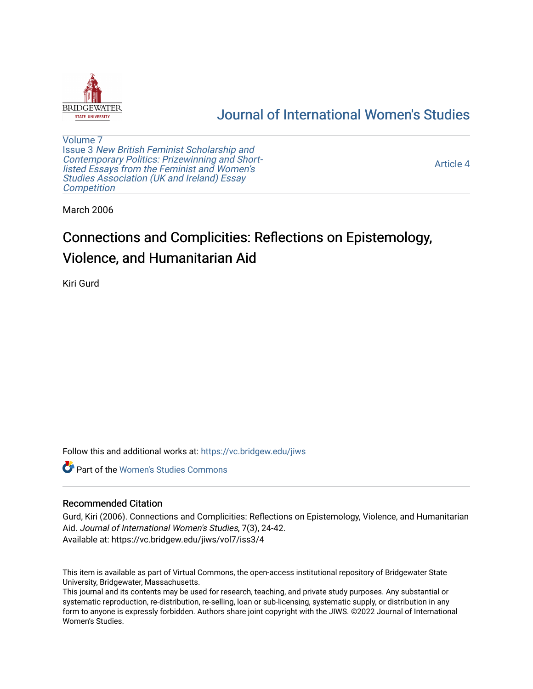

# [Journal of International Women's Studies](https://vc.bridgew.edu/jiws)

[Volume 7](https://vc.bridgew.edu/jiws/vol7) Issue 3 [New British Feminist Scholarship and](https://vc.bridgew.edu/jiws/vol7/iss3)  [Contemporary Politics: Prizewinning and Short](https://vc.bridgew.edu/jiws/vol7/iss3)[listed Essays from the Feminist and Women's](https://vc.bridgew.edu/jiws/vol7/iss3)  [Studies Association \(UK and Ireland\) Essay](https://vc.bridgew.edu/jiws/vol7/iss3)  **Competition** 

[Article 4](https://vc.bridgew.edu/jiws/vol7/iss3/4) 

March 2006

# Connections and Complicities: Reflections on Epistemology, Violence, and Humanitarian Aid

Kiri Gurd

Follow this and additional works at: [https://vc.bridgew.edu/jiws](https://vc.bridgew.edu/jiws?utm_source=vc.bridgew.edu%2Fjiws%2Fvol7%2Fiss3%2F4&utm_medium=PDF&utm_campaign=PDFCoverPages)

**C** Part of the Women's Studies Commons

# Recommended Citation

Gurd, Kiri (2006). Connections and Complicities: Reflections on Epistemology, Violence, and Humanitarian Aid. Journal of International Women's Studies, 7(3), 24-42. Available at: https://vc.bridgew.edu/jiws/vol7/iss3/4

This item is available as part of Virtual Commons, the open-access institutional repository of Bridgewater State University, Bridgewater, Massachusetts.

This journal and its contents may be used for research, teaching, and private study purposes. Any substantial or systematic reproduction, re-distribution, re-selling, loan or sub-licensing, systematic supply, or distribution in any form to anyone is expressly forbidden. Authors share joint copyright with the JIWS. ©2022 Journal of International Women's Studies.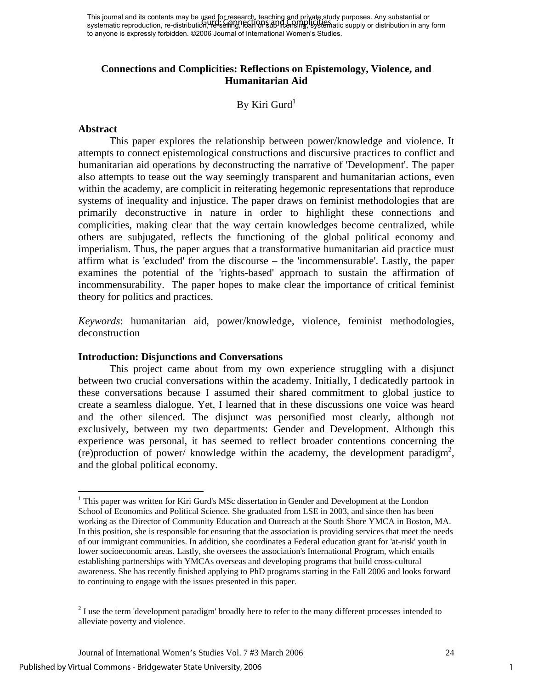This journal and its contents may be used for research, teaching and private study purposes. Any substantial or This journal and its contents may be about on research, reading and private study parposes. Any substantial or<br>systematic reproduction, re-distribution, He seling, IEEN OP sub-licensing, systematic supply or distribution i to anyone is expressly forbidden. ©2006 Journal of International Women's Studies.

# **Connections and Complicities: Reflections on Epistemology, Violence, and Humanitarian Aid**

# By Kiri Gurd $<sup>1</sup>$ </sup>

#### **Abstract**

1

This paper explores the relationship between power/knowledge and violence. It attempts to connect epistemological constructions and discursive practices to conflict and humanitarian aid operations by deconstructing the narrative of 'Development'. The paper also attempts to tease out the way seemingly transparent and humanitarian actions, even within the academy, are complicit in reiterating hegemonic representations that reproduce systems of inequality and injustice. The paper draws on feminist methodologies that are primarily deconstructive in nature in order to highlight these connections and complicities, making clear that the way certain knowledges become centralized, while others are subjugated, reflects the functioning of the global political economy and imperialism. Thus, the paper argues that a transformative humanitarian aid practice must affirm what is 'excluded' from the discourse – the 'incommensurable'. Lastly, the paper examines the potential of the 'rights-based' approach to sustain the affirmation of incommensurability. The paper hopes to make clear the importance of critical feminist theory for politics and practices.

*Keywords*: humanitarian aid, power/knowledge, violence, feminist methodologies, deconstruction

#### **Introduction: Disjunctions and Conversations**

This project came about from my own experience struggling with a disjunct between two crucial conversations within the academy. Initially, I dedicatedly partook in these conversations because I assumed their shared commitment to global justice to create a seamless dialogue. Yet, I learned that in these discussions one voice was heard and the other silenced. The disjunct was personified most clearly, although not exclusively, between my two departments: Gender and Development. Although this experience was personal, it has seemed to reflect broader contentions concerning the (re)production of power/ knowledge within the academy, the development paradigm<sup>2</sup>, and the global political economy.

<span id="page-1-0"></span><sup>&</sup>lt;sup>1</sup> This paper was written for Kiri Gurd's MSc dissertation in Gender and Development at the London School of Economics and Political Science. She graduated from LSE in 2003, and since then has been working as the Director of Community Education and Outreach at the South Shore YMCA in Boston, MA. In this position, she is responsible for ensuring that the association is providing services that meet the needs of our immigrant communities. In addition, she coordinates a Federal education grant for 'at-risk' youth in lower socioeconomic areas. Lastly, she oversees the association's International Program, which entails establishing partnerships with YMCAs overseas and developing programs that build cross-cultural awareness. She has recently finished applying to PhD programs starting in the Fall 2006 and looks forward to continuing to engage with the issues presented in this paper.

<span id="page-1-1"></span> $2<sup>2</sup>$  I use the term 'development paradigm' broadly here to refer to the many different processes intended to alleviate poverty and violence.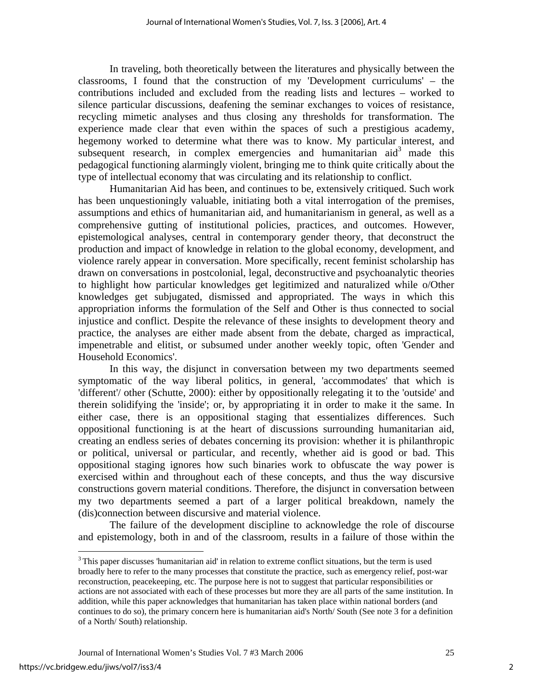In traveling, both theoretically between the literatures and physically between the classrooms, I found that the construction of my 'Development curriculums' – the contributions included and excluded from the reading lists and lectures – worked to silence particular discussions, deafening the seminar exchanges to voices of resistance, recycling mimetic analyses and thus closing any thresholds for transformation. The experience made clear that even within the spaces of such a prestigious academy, hegemony worked to determine what there was to know. My particular interest, and subsequent research, in complex emergencies and humanitarian  $\text{aid}^3$  $\text{aid}^3$  made this pedagogical functioning alarmingly violent, bringing me to think quite critically about the type of intellectual economy that was circulating and its relationship to conflict.

Humanitarian Aid has been, and continues to be, extensively critiqued. Such work has been unquestioningly valuable, initiating both a vital interrogation of the premises, assumptions and ethics of humanitarian aid, and humanitarianism in general, as well as a comprehensive gutting of institutional policies, practices, and outcomes. However, epistemological analyses, central in contemporary gender theory, that deconstruct the production and impact of knowledge in relation to the global economy, development, and violence rarely appear in conversation. More specifically, recent feminist scholarship has drawn on conversations in postcolonial, legal, deconstructive and psychoanalytic theories to highlight how particular knowledges get legitimized and naturalized while o/Other knowledges get subjugated, dismissed and appropriated. The ways in which this appropriation informs the formulation of the Self and Other is thus connected to social injustice and conflict. Despite the relevance of these insights to development theory and practice, the analyses are either made absent from the debate, charged as impractical, impenetrable and elitist, or subsumed under another weekly topic, often 'Gender and Household Economics'.

In this way, the disjunct in conversation between my two departments seemed symptomatic of the way liberal politics, in general, 'accommodates' that which is 'different'/ other (Schutte, 2000): either by oppositionally relegating it to the 'outside' and therein solidifying the 'inside'; or, by appropriating it in order to make it the same. In either case, there is an oppositional staging that essentializes differences. Such oppositional functioning is at the heart of discussions surrounding humanitarian aid, creating an endless series of debates concerning its provision: whether it is philanthropic or political, universal or particular, and recently, whether aid is good or bad. This oppositional staging ignores how such binaries work to obfuscate the way power is exercised within and throughout each of these concepts, and thus the way discursive constructions govern material conditions. Therefore, the disjunct in conversation between my two departments seemed a part of a larger political breakdown, namely the (dis)connection between discursive and material violence.

The failure of the development discipline to acknowledge the role of discourse and epistemology, both in and of the classroom, results in a failure of those within the

 $\overline{a}$ 

<span id="page-2-0"></span> $3$ This paper discusses 'humanitarian aid' in relation to extreme conflict situations, but the term is used broadly here to refer to the many processes that constitute the practice, such as emergency relief, post-war reconstruction, peacekeeping, etc. The purpose here is not to suggest that particular responsibilities or actions are not associated with each of these processes but more they are all parts of the same institution. In addition, while this paper acknowledges that humanitarian has taken place within national borders (and continues to do so), the primary concern here is humanitarian aid's North/ South (See note 3 for a definition of a North/ South) relationship.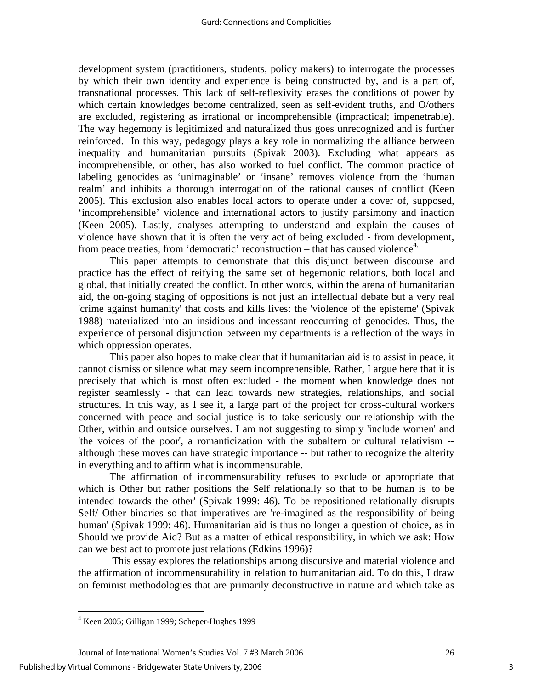development system (practitioners, students, policy makers) to interrogate the processes by which their own identity and experience is being constructed by, and is a part of, transnational processes. This lack of self-reflexivity erases the conditions of power by which certain knowledges become centralized, seen as self-evident truths, and O/others are excluded, registering as irrational or incomprehensible (impractical; impenetrable). The way hegemony is legitimized and naturalized thus goes unrecognized and is further reinforced. In this way, pedagogy plays a key role in normalizing the alliance between inequality and humanitarian pursuits (Spivak 2003). Excluding what appears as incomprehensible, or other, has also worked to fuel conflict. The common practice of labeling genocides as 'unimaginable' or 'insane' removes violence from the 'human realm' and inhibits a thorough interrogation of the rational causes of conflict (Keen 2005). This exclusion also enables local actors to operate under a cover of, supposed, 'incomprehensible' violence and international actors to justify parsimony and inaction (Keen 2005). Lastly, analyses attempting to understand and explain the causes of violence have shown that it is often the very act of being excluded - from development, from peace treaties, from 'democratic' reconstruction – that has caused violence<sup>4.</sup>

This paper attempts to demonstrate that this disjunct between discourse and practice has the effect of reifying the same set of hegemonic relations, both local and global, that initially created the conflict. In other words, within the arena of humanitarian aid, the on-going staging of oppositions is not just an intellectual debate but a very real 'crime against humanity' that costs and kills lives: the 'violence of the episteme' (Spivak 1988) materialized into an insidious and incessant reoccurring of genocides. Thus, the experience of personal disjunction between my departments is a reflection of the ways in which oppression operates.

This paper also hopes to make clear that if humanitarian aid is to assist in peace, it cannot dismiss or silence what may seem incomprehensible. Rather, I argue here that it is precisely that which is most often excluded - the moment when knowledge does not register seamlessly - that can lead towards new strategies, relationships, and social structures. In this way, as I see it, a large part of the project for cross-cultural workers concerned with peace and social justice is to take seriously our relationship with the Other, within and outside ourselves. I am not suggesting to simply 'include women' and 'the voices of the poor', a romanticization with the subaltern or cultural relativism - although these moves can have strategic importance -- but rather to recognize the alterity in everything and to affirm what is incommensurable.

The affirmation of incommensurability refuses to exclude or appropriate that which is Other but rather positions the Self relationally so that to be human is 'to be intended towards the other' (Spivak 1999: 46). To be repositioned relationally disrupts Self/ Other binaries so that imperatives are 're-imagined as the responsibility of being human' (Spivak 1999: 46). Humanitarian aid is thus no longer a question of choice, as in Should we provide Aid? But as a matter of ethical responsibility, in which we ask: How can we best act to promote just relations (Edkins 1996)?

 This essay explores the relationships among discursive and material violence and the affirmation of incommensurability in relation to humanitarian aid. To do this, I draw on feminist methodologies that are primarily deconstructive in nature and which take as

<u>.</u>

<span id="page-3-0"></span><sup>4</sup> Keen 2005; Gilligan 1999; Scheper-Hughes 1999

Journal of International Women's Studies Vol. 7 #3 March 2006 26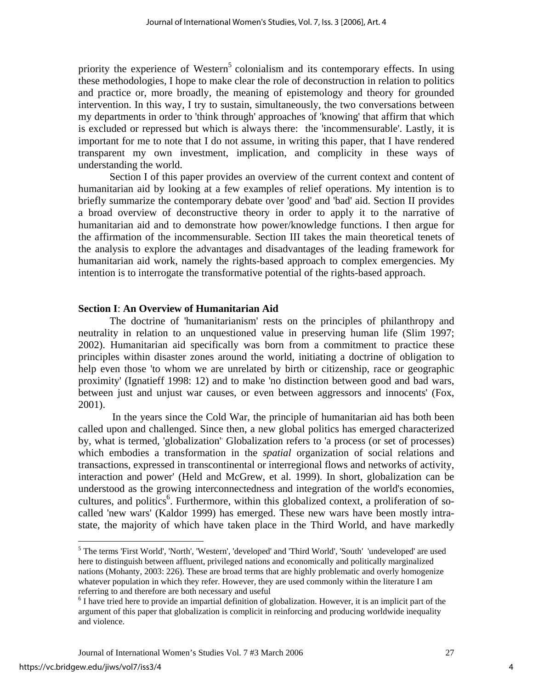priority the experience of Western<sup>[5](#page-4-0)</sup> colonialism and its contemporary effects. In using these methodologies, I hope to make clear the role of deconstruction in relation to politics and practice or, more broadly, the meaning of epistemology and theory for grounded intervention. In this way, I try to sustain, simultaneously, the two conversations between my departments in order to 'think through' approaches of 'knowing' that affirm that which is excluded or repressed but which is always there: the 'incommensurable'. Lastly, it is important for me to note that I do not assume, in writing this paper, that I have rendered transparent my own investment, implication, and complicity in these ways of understanding the world.

Section I of this paper provides an overview of the current context and content of humanitarian aid by looking at a few examples of relief operations. My intention is to briefly summarize the contemporary debate over 'good' and 'bad' aid. Section II provides a broad overview of deconstructive theory in order to apply it to the narrative of humanitarian aid and to demonstrate how power/knowledge functions. I then argue for the affirmation of the incommensurable. Section III takes the main theoretical tenets of the analysis to explore the advantages and disadvantages of the leading framework for humanitarian aid work, namely the rights-based approach to complex emergencies. My intention is to interrogate the transformative potential of the rights-based approach.

#### **Section I**: **An Overview of Humanitarian Aid**

The doctrine of 'humanitarianism' rests on the principles of philanthropy and neutrality in relation to an unquestioned value in preserving human life (Slim 1997; 2002). Humanitarian aid specifically was born from a commitment to practice these principles within disaster zones around the world, initiating a doctrine of obligation to help even those 'to whom we are unrelated by birth or citizenship, race or geographic proximity' (Ignatieff 1998: 12) and to make 'no distinction between good and bad wars, between just and unjust war causes, or even between aggressors and innocents' (Fox, 2001).

 In the years since the Cold War, the principle of humanitarian aid has both been called upon and challenged. Since then, a new global politics has emerged characterized by, what is termed, 'globalization'. Globalization refers to 'a process (or set of processes) which embodies a transformation in the *spatial* organization of social relations and transactions, expressed in transcontinental or interregional flows and networks of activity, interaction and power' (Held and McGrew, et al. 1999). In short, globalization can be understood as the growing interconnectedness and integration of the world's economies, cultures, and politics<sup>6</sup>. Furthermore, within this globalized context, a proliferation of socalled 'new wars' (Kaldor 1999) has emerged. These new wars have been mostly intrastate, the majority of which have taken place in the Third World, and have markedly

 $\overline{a}$ 

<span id="page-4-0"></span><sup>&</sup>lt;sup>5</sup> The terms 'First World', 'North', 'Western', 'developed' and 'Third World', 'South' 'undeveloped' are used here to distinguish between affluent, privileged nations and economically and politically marginalized nations (Mohanty, 2003: 226). These are broad terms that are highly problematic and overly homogenize whatever population in which they refer. However, they are used commonly within the literature I am referring to and therefore are both necessary and useful 6

<span id="page-4-1"></span> $6$  I have tried here to provide an impartial definition of globalization. However, it is an implicit part of the argument of this paper that globalization is complicit in reinforcing and producing worldwide inequality and violence.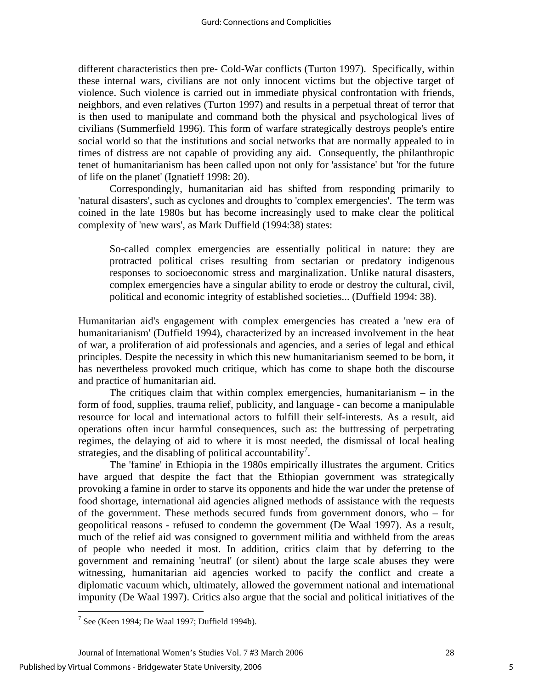different characteristics then pre- Cold-War conflicts (Turton 1997). Specifically, within these internal wars, civilians are not only innocent victims but the objective target of violence. Such violence is carried out in immediate physical confrontation with friends, neighbors, and even relatives (Turton 1997) and results in a perpetual threat of terror that is then used to manipulate and command both the physical and psychological lives of civilians (Summerfield 1996). This form of warfare strategically destroys people's entire social world so that the institutions and social networks that are normally appealed to in times of distress are not capable of providing any aid. Consequently, the philanthropic tenet of humanitarianism has been called upon not only for 'assistance' but 'for the future of life on the planet' (Ignatieff 1998: 20).

 Correspondingly, humanitarian aid has shifted from responding primarily to 'natural disasters', such as cyclones and droughts to 'complex emergencies'. The term was coined in the late 1980s but has become increasingly used to make clear the political complexity of 'new wars', as Mark Duffield (1994:38) states:

So-called complex emergencies are essentially political in nature: they are protracted political crises resulting from sectarian or predatory indigenous responses to socioeconomic stress and marginalization. Unlike natural disasters, complex emergencies have a singular ability to erode or destroy the cultural, civil, political and economic integrity of established societies... (Duffield 1994: 38).

Humanitarian aid's engagement with complex emergencies has created a 'new era of humanitarianism' (Duffield 1994), characterized by an increased involvement in the heat of war, a proliferation of aid professionals and agencies, and a series of legal and ethical principles. Despite the necessity in which this new humanitarianism seemed to be born, it has nevertheless provoked much critique, which has come to shape both the discourse and practice of humanitarian aid.

 The critiques claim that within complex emergencies, humanitarianism – in the form of food, supplies, trauma relief, publicity, and language - can become a manipulable resource for local and international actors to fulfill their self-interests. As a result, aid operations often incur harmful consequences, such as: the buttressing of perpetrating regimes, the delaying of aid to where it is most needed, the dismissal of local healing strategies, and the disabling of political accountability<sup>[7](#page-5-0)</sup>.

The 'famine' in Ethiopia in the 1980s empirically illustrates the argument. Critics have argued that despite the fact that the Ethiopian government was strategically provoking a famine in order to starve its opponents and hide the war under the pretense of food shortage, international aid agencies aligned methods of assistance with the requests of the government. These methods secured funds from government donors, who – for geopolitical reasons - refused to condemn the government (De Waal 1997). As a result, much of the relief aid was consigned to government militia and withheld from the areas of people who needed it most. In addition, critics claim that by deferring to the government and remaining 'neutral' (or silent) about the large scale abuses they were witnessing, humanitarian aid agencies worked to pacify the conflict and create a diplomatic vacuum which, ultimately, allowed the government national and international impunity (De Waal 1997). Critics also argue that the social and political initiatives of the

<span id="page-5-0"></span><sup>&</sup>lt;u>.</u>  $<sup>7</sup>$  See (Keen 1994; De Waal 1997; Duffield 1994b).</sup>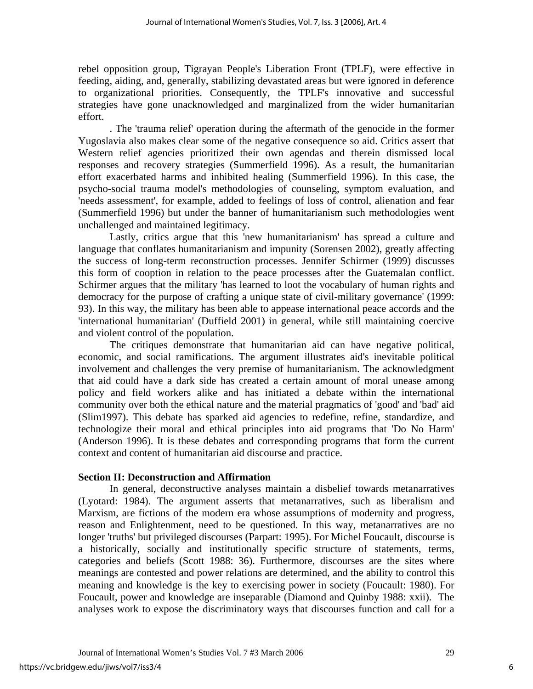rebel opposition group, Tigrayan People's Liberation Front (TPLF), were effective in feeding, aiding, and, generally, stabilizing devastated areas but were ignored in deference to organizational priorities. Consequently, the TPLF's innovative and successful strategies have gone unacknowledged and marginalized from the wider humanitarian effort.

 . The 'trauma relief' operation during the aftermath of the genocide in the former Yugoslavia also makes clear some of the negative consequence so aid. Critics assert that Western relief agencies prioritized their own agendas and therein dismissed local responses and recovery strategies (Summerfield 1996). As a result, the humanitarian effort exacerbated harms and inhibited healing (Summerfield 1996). In this case, the psycho-social trauma model's methodologies of counseling, symptom evaluation, and 'needs assessment', for example, added to feelings of loss of control, alienation and fear (Summerfield 1996) but under the banner of humanitarianism such methodologies went unchallenged and maintained legitimacy.

 Lastly, critics argue that this 'new humanitarianism' has spread a culture and language that conflates humanitarianism and impunity (Sorensen 2002), greatly affecting the success of long-term reconstruction processes. Jennifer Schirmer (1999) discusses this form of cooption in relation to the peace processes after the Guatemalan conflict. Schirmer argues that the military 'has learned to loot the vocabulary of human rights and democracy for the purpose of crafting a unique state of civil-military governance' (1999: 93). In this way, the military has been able to appease international peace accords and the 'international humanitarian' (Duffield 2001) in general, while still maintaining coercive and violent control of the population.

The critiques demonstrate that humanitarian aid can have negative political, economic, and social ramifications. The argument illustrates aid's inevitable political involvement and challenges the very premise of humanitarianism. The acknowledgment that aid could have a dark side has created a certain amount of moral unease among policy and field workers alike and has initiated a debate within the international community over both the ethical nature and the material pragmatics of 'good' and 'bad' aid (Slim1997). This debate has sparked aid agencies to redefine, refine, standardize, and technologize their moral and ethical principles into aid programs that 'Do No Harm' (Anderson 1996). It is these debates and corresponding programs that form the current context and content of humanitarian aid discourse and practice.

# **Section II: Deconstruction and Affirmation**

In general, deconstructive analyses maintain a disbelief towards metanarratives (Lyotard: 1984). The argument asserts that metanarratives, such as liberalism and Marxism, are fictions of the modern era whose assumptions of modernity and progress, reason and Enlightenment, need to be questioned. In this way, metanarratives are no longer 'truths' but privileged discourses (Parpart: 1995). For Michel Foucault, discourse is a historically, socially and institutionally specific structure of statements, terms, categories and beliefs (Scott 1988: 36). Furthermore, discourses are the sites where meanings are contested and power relations are determined, and the ability to control this meaning and knowledge is the key to exercising power in society (Foucault: 1980). For Foucault, power and knowledge are inseparable (Diamond and Quinby 1988: xxii). The analyses work to expose the discriminatory ways that discourses function and call for a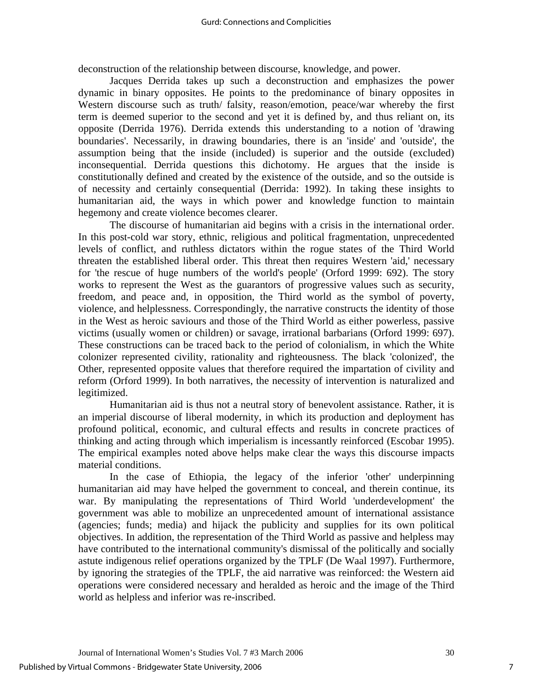deconstruction of the relationship between discourse, knowledge, and power.

Jacques Derrida takes up such a deconstruction and emphasizes the power dynamic in binary opposites. He points to the predominance of binary opposites in Western discourse such as truth/ falsity, reason/emotion, peace/war whereby the first term is deemed superior to the second and yet it is defined by, and thus reliant on, its opposite (Derrida 1976). Derrida extends this understanding to a notion of 'drawing boundaries'. Necessarily, in drawing boundaries, there is an 'inside' and 'outside', the assumption being that the inside (included) is superior and the outside (excluded) inconsequential. Derrida questions this dichotomy. He argues that the inside is constitutionally defined and created by the existence of the outside, and so the outside is of necessity and certainly consequential (Derrida: 1992). In taking these insights to humanitarian aid, the ways in which power and knowledge function to maintain hegemony and create violence becomes clearer.

 The discourse of humanitarian aid begins with a crisis in the international order. In this post-cold war story, ethnic, religious and political fragmentation, unprecedented levels of conflict, and ruthless dictators within the rogue states of the Third World threaten the established liberal order. This threat then requires Western 'aid,' necessary for 'the rescue of huge numbers of the world's people' (Orford 1999: 692). The story works to represent the West as the guarantors of progressive values such as security, freedom, and peace and, in opposition, the Third world as the symbol of poverty, violence, and helplessness. Correspondingly, the narrative constructs the identity of those in the West as heroic saviours and those of the Third World as either powerless, passive victims (usually women or children) or savage, irrational barbarians (Orford 1999: 697). These constructions can be traced back to the period of colonialism, in which the White colonizer represented civility, rationality and righteousness. The black 'colonized', the Other, represented opposite values that therefore required the impartation of civility and reform (Orford 1999). In both narratives, the necessity of intervention is naturalized and legitimized.

 Humanitarian aid is thus not a neutral story of benevolent assistance. Rather, it is an imperial discourse of liberal modernity, in which its production and deployment has profound political, economic, and cultural effects and results in concrete practices of thinking and acting through which imperialism is incessantly reinforced (Escobar 1995). The empirical examples noted above helps make clear the ways this discourse impacts material conditions.

 In the case of Ethiopia, the legacy of the inferior 'other' underpinning humanitarian aid may have helped the government to conceal, and therein continue, its war. By manipulating the representations of Third World 'underdevelopment' the government was able to mobilize an unprecedented amount of international assistance (agencies; funds; media) and hijack the publicity and supplies for its own political objectives. In addition, the representation of the Third World as passive and helpless may have contributed to the international community's dismissal of the politically and socially astute indigenous relief operations organized by the TPLF (De Waal 1997). Furthermore, by ignoring the strategies of the TPLF, the aid narrative was reinforced: the Western aid operations were considered necessary and heralded as heroic and the image of the Third world as helpless and inferior was re-inscribed.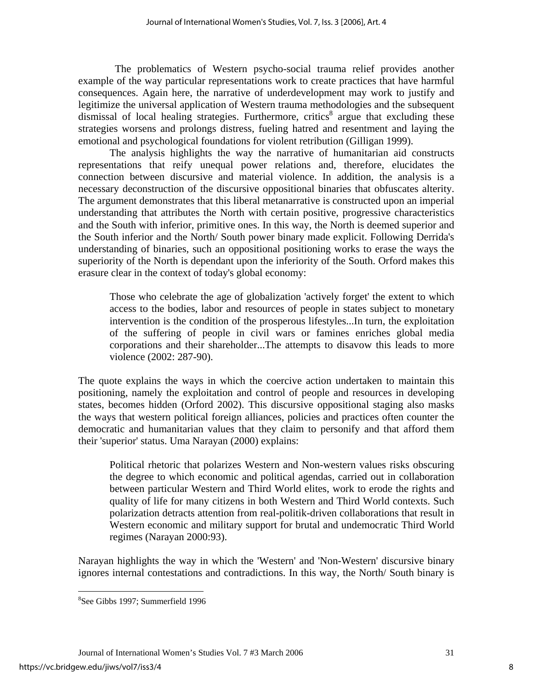The problematics of Western psycho-social trauma relief provides another example of the way particular representations work to create practices that have harmful consequences. Again here, the narrative of underdevelopment may work to justify and legitimize the universal application of Western trauma methodologies and the subsequent  $d$ ismissal of local healing strategies. Furthermore, critics<sup>[8](#page-8-0)</sup> argue that excluding these strategies worsens and prolongs distress, fueling hatred and resentment and laying the emotional and psychological foundations for violent retribution (Gilligan 1999).

 The analysis highlights the way the narrative of humanitarian aid constructs representations that reify unequal power relations and, therefore, elucidates the connection between discursive and material violence. In addition, the analysis is a necessary deconstruction of the discursive oppositional binaries that obfuscates alterity. The argument demonstrates that this liberal metanarrative is constructed upon an imperial understanding that attributes the North with certain positive, progressive characteristics and the South with inferior, primitive ones. In this way, the North is deemed superior and the South inferior and the North/ South power binary made explicit. Following Derrida's understanding of binaries, such an oppositional positioning works to erase the ways the superiority of the North is dependant upon the inferiority of the South. Orford makes this erasure clear in the context of today's global economy:

Those who celebrate the age of globalization 'actively forget' the extent to which access to the bodies, labor and resources of people in states subject to monetary intervention is the condition of the prosperous lifestyles...In turn, the exploitation of the suffering of people in civil wars or famines enriches global media corporations and their shareholder...The attempts to disavow this leads to more violence (2002: 287-90).

The quote explains the ways in which the coercive action undertaken to maintain this positioning, namely the exploitation and control of people and resources in developing states, becomes hidden (Orford 2002). This discursive oppositional staging also masks the ways that western political foreign alliances, policies and practices often counter the democratic and humanitarian values that they claim to personify and that afford them their 'superior' status. Uma Narayan (2000) explains:

Political rhetoric that polarizes Western and Non-western values risks obscuring the degree to which economic and political agendas, carried out in collaboration between particular Western and Third World elites, work to erode the rights and quality of life for many citizens in both Western and Third World contexts. Such polarization detracts attention from real-politik-driven collaborations that result in Western economic and military support for brutal and undemocratic Third World regimes (Narayan 2000:93).

Narayan highlights the way in which the 'Western' and 'Non-Western' discursive binary ignores internal contestations and contradictions. In this way, the North/ South binary is

 $\overline{a}$ 

<span id="page-8-0"></span><sup>8</sup> See Gibbs 1997; Summerfield 1996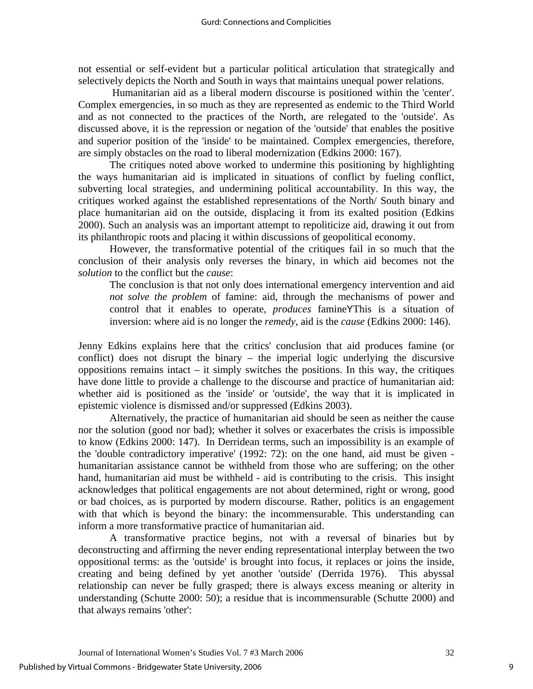not essential or self-evident but a particular political articulation that strategically and selectively depicts the North and South in ways that maintains unequal power relations.

 Humanitarian aid as a liberal modern discourse is positioned within the 'center'. Complex emergencies, in so much as they are represented as endemic to the Third World and as not connected to the practices of the North, are relegated to the 'outside'. As discussed above, it is the repression or negation of the 'outside' that enables the positive and superior position of the 'inside' to be maintained. Complex emergencies, therefore, are simply obstacles on the road to liberal modernization (Edkins 2000: 167).

The critiques noted above worked to undermine this positioning by highlighting the ways humanitarian aid is implicated in situations of conflict by fueling conflict, subverting local strategies, and undermining political accountability. In this way, the critiques worked against the established representations of the North/ South binary and place humanitarian aid on the outside, displacing it from its exalted position (Edkins 2000). Such an analysis was an important attempt to repoliticize aid, drawing it out from its philanthropic roots and placing it within discussions of geopolitical economy.

However, the transformative potential of the critiques fail in so much that the conclusion of their analysis only reverses the binary, in which aid becomes not the *solution* to the conflict but the *cause*:

The conclusion is that not only does international emergency intervention and aid *not solve the problem* of famine: aid, through the mechanisms of power and control that it enables to operate, *produces* famineYThis is a situation of inversion: where aid is no longer the *remedy*, aid is the *cause* (Edkins 2000: 146).

Jenny Edkins explains here that the critics' conclusion that aid produces famine (or conflict) does not disrupt the binary – the imperial logic underlying the discursive oppositions remains intact  $-$  it simply switches the positions. In this way, the critiques have done little to provide a challenge to the discourse and practice of humanitarian aid: whether aid is positioned as the 'inside' or 'outside', the way that it is implicated in epistemic violence is dismissed and/or suppressed (Edkins 2003).

 Alternatively, the practice of humanitarian aid should be seen as neither the cause nor the solution (good nor bad); whether it solves or exacerbates the crisis is impossible to know (Edkins 2000: 147). In Derridean terms, such an impossibility is an example of the 'double contradictory imperative' (1992: 72): on the one hand, aid must be given humanitarian assistance cannot be withheld from those who are suffering; on the other hand, humanitarian aid must be withheld - aid is contributing to the crisis. This insight acknowledges that political engagements are not about determined, right or wrong, good or bad choices, as is purported by modern discourse. Rather, politics is an engagement with that which is beyond the binary: the incommensurable. This understanding can inform a more transformative practice of humanitarian aid.

 A transformative practice begins, not with a reversal of binaries but by deconstructing and affirming the never ending representational interplay between the two oppositional terms: as the 'outside' is brought into focus, it replaces or joins the inside, creating and being defined by yet another 'outside' (Derrida 1976). This abyssal relationship can never be fully grasped; there is always excess meaning or alterity in understanding (Schutte 2000: 50); a residue that is incommensurable (Schutte 2000) and that always remains 'other':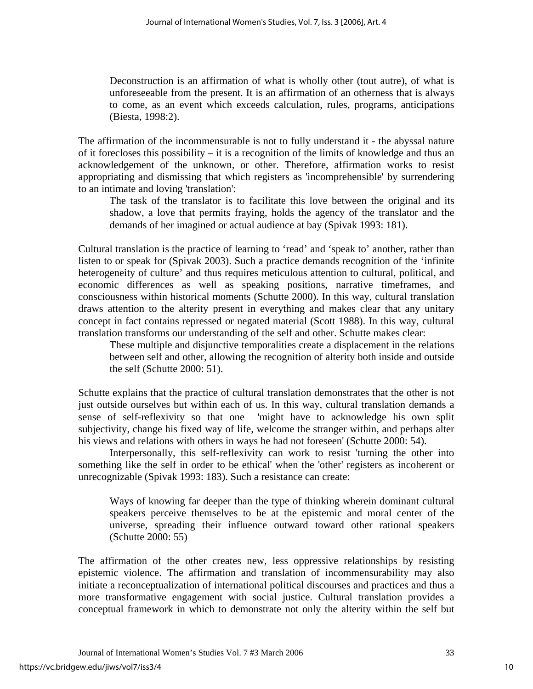Deconstruction is an affirmation of what is wholly other (tout autre), of what is unforeseeable from the present. It is an affirmation of an otherness that is always to come, as an event which exceeds calculation, rules, programs, anticipations (Biesta, 1998:2).

The affirmation of the incommensurable is not to fully understand it - the abyssal nature of it forecloses this possibility – it is a recognition of the limits of knowledge and thus an acknowledgement of the unknown, or other. Therefore, affirmation works to resist appropriating and dismissing that which registers as 'incomprehensible' by surrendering to an intimate and loving 'translation':

The task of the translator is to facilitate this love between the original and its shadow, a love that permits fraying, holds the agency of the translator and the demands of her imagined or actual audience at bay (Spivak 1993: 181).

Cultural translation is the practice of learning to 'read' and 'speak to' another, rather than listen to or speak for (Spivak 2003). Such a practice demands recognition of the 'infinite heterogeneity of culture' and thus requires meticulous attention to cultural, political, and economic differences as well as speaking positions, narrative timeframes, and consciousness within historical moments (Schutte 2000). In this way, cultural translation draws attention to the alterity present in everything and makes clear that any unitary concept in fact contains repressed or negated material (Scott 1988). In this way, cultural translation transforms our understanding of the self and other. Schutte makes clear:

These multiple and disjunctive temporalities create a displacement in the relations between self and other, allowing the recognition of alterity both inside and outside the self (Schutte 2000: 51).

Schutte explains that the practice of cultural translation demonstrates that the other is not just outside ourselves but within each of us. In this way, cultural translation demands a sense of self-reflexivity so that one 'might have to acknowledge his own split subjectivity, change his fixed way of life, welcome the stranger within, and perhaps alter his views and relations with others in ways he had not foreseen' (Schutte 2000: 54).

 Interpersonally, this self-reflexivity can work to resist 'turning the other into something like the self in order to be ethical' when the 'other' registers as incoherent or unrecognizable (Spivak 1993: 183). Such a resistance can create:

Ways of knowing far deeper than the type of thinking wherein dominant cultural speakers perceive themselves to be at the epistemic and moral center of the universe, spreading their influence outward toward other rational speakers (Schutte 2000: 55)

The affirmation of the other creates new, less oppressive relationships by resisting epistemic violence. The affirmation and translation of incommensurability may also initiate a reconceptualization of international political discourses and practices and thus a more transformative engagement with social justice. Cultural translation provides a conceptual framework in which to demonstrate not only the alterity within the self but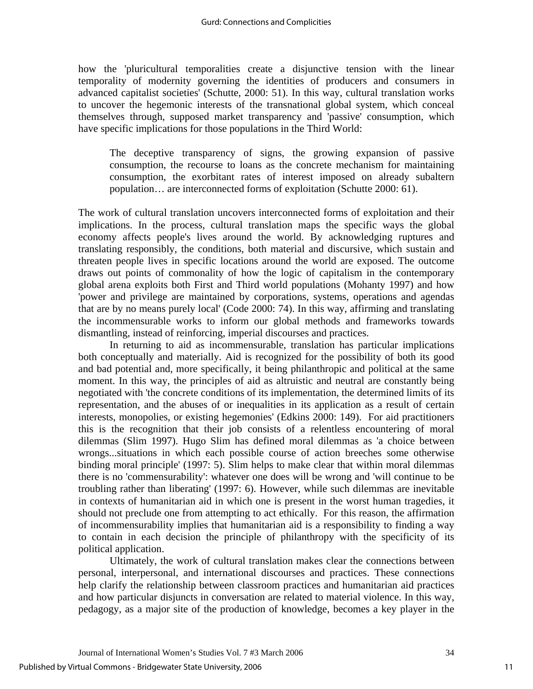how the 'pluricultural temporalities create a disjunctive tension with the linear temporality of modernity governing the identities of producers and consumers in advanced capitalist societies' (Schutte, 2000: 51). In this way, cultural translation works to uncover the hegemonic interests of the transnational global system, which conceal themselves through, supposed market transparency and 'passive' consumption, which have specific implications for those populations in the Third World:

The deceptive transparency of signs, the growing expansion of passive consumption, the recourse to loans as the concrete mechanism for maintaining consumption, the exorbitant rates of interest imposed on already subaltern population… are interconnected forms of exploitation (Schutte 2000: 61).

The work of cultural translation uncovers interconnected forms of exploitation and their implications. In the process, cultural translation maps the specific ways the global economy affects people's lives around the world. By acknowledging ruptures and translating responsibly, the conditions, both material and discursive, which sustain and threaten people lives in specific locations around the world are exposed. The outcome draws out points of commonality of how the logic of capitalism in the contemporary global arena exploits both First and Third world populations (Mohanty 1997) and how 'power and privilege are maintained by corporations, systems, operations and agendas that are by no means purely local' (Code 2000: 74). In this way, affirming and translating the incommensurable works to inform our global methods and frameworks towards dismantling, instead of reinforcing, imperial discourses and practices.

In returning to aid as incommensurable, translation has particular implications both conceptually and materially. Aid is recognized for the possibility of both its good and bad potential and, more specifically, it being philanthropic and political at the same moment. In this way, the principles of aid as altruistic and neutral are constantly being negotiated with 'the concrete conditions of its implementation, the determined limits of its representation, and the abuses of or inequalities in its application as a result of certain interests, monopolies, or existing hegemonies' (Edkins 2000: 149). For aid practitioners this is the recognition that their job consists of a relentless encountering of moral dilemmas (Slim 1997). Hugo Slim has defined moral dilemmas as 'a choice between wrongs...situations in which each possible course of action breeches some otherwise binding moral principle' (1997: 5). Slim helps to make clear that within moral dilemmas there is no 'commensurability': whatever one does will be wrong and 'will continue to be troubling rather than liberating' (1997: 6). However, while such dilemmas are inevitable in contexts of humanitarian aid in which one is present in the worst human tragedies, it should not preclude one from attempting to act ethically. For this reason, the affirmation of incommensurability implies that humanitarian aid is a responsibility to finding a way to contain in each decision the principle of philanthropy with the specificity of its political application.

Ultimately, the work of cultural translation makes clear the connections between personal, interpersonal, and international discourses and practices. These connections help clarify the relationship between classroom practices and humanitarian aid practices and how particular disjuncts in conversation are related to material violence. In this way, pedagogy, as a major site of the production of knowledge, becomes a key player in the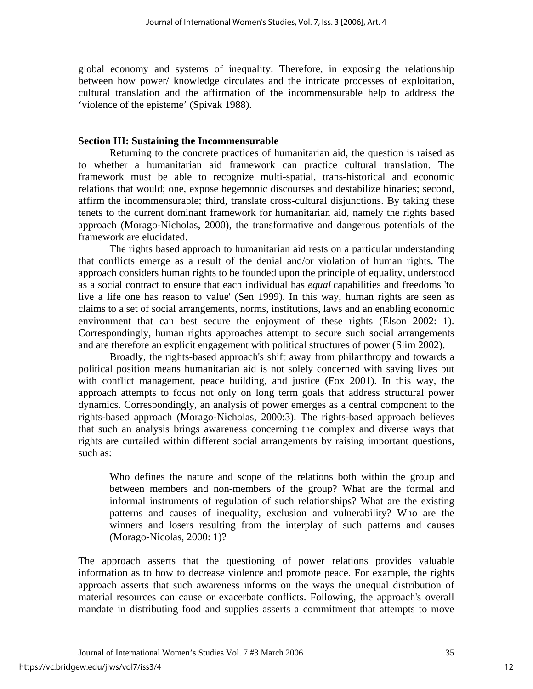global economy and systems of inequality. Therefore, in exposing the relationship between how power/ knowledge circulates and the intricate processes of exploitation, cultural translation and the affirmation of the incommensurable help to address the 'violence of the episteme' (Spivak 1988).

# **Section III: Sustaining the Incommensurable**

Returning to the concrete practices of humanitarian aid, the question is raised as to whether a humanitarian aid framework can practice cultural translation. The framework must be able to recognize multi-spatial, trans-historical and economic relations that would; one, expose hegemonic discourses and destabilize binaries; second, affirm the incommensurable; third, translate cross-cultural disjunctions. By taking these tenets to the current dominant framework for humanitarian aid, namely the rights based approach (Morago-Nicholas, 2000), the transformative and dangerous potentials of the framework are elucidated.

 The rights based approach to humanitarian aid rests on a particular understanding that conflicts emerge as a result of the denial and/or violation of human rights. The approach considers human rights to be founded upon the principle of equality, understood as a social contract to ensure that each individual has *equal* capabilities and freedoms 'to live a life one has reason to value' (Sen 1999). In this way, human rights are seen as claims to a set of social arrangements, norms, institutions, laws and an enabling economic environment that can best secure the enjoyment of these rights (Elson 2002: 1). Correspondingly, human rights approaches attempt to secure such social arrangements and are therefore an explicit engagement with political structures of power (Slim 2002).

 Broadly, the rights-based approach's shift away from philanthropy and towards a political position means humanitarian aid is not solely concerned with saving lives but with conflict management, peace building, and justice (Fox 2001). In this way, the approach attempts to focus not only on long term goals that address structural power dynamics. Correspondingly, an analysis of power emerges as a central component to the rights-based approach (Morago-Nicholas, 2000:3). The rights-based approach believes that such an analysis brings awareness concerning the complex and diverse ways that rights are curtailed within different social arrangements by raising important questions, such as:

Who defines the nature and scope of the relations both within the group and between members and non-members of the group? What are the formal and informal instruments of regulation of such relationships? What are the existing patterns and causes of inequality, exclusion and vulnerability? Who are the winners and losers resulting from the interplay of such patterns and causes (Morago-Nicolas, 2000: 1)?

The approach asserts that the questioning of power relations provides valuable information as to how to decrease violence and promote peace. For example, the rights approach asserts that such awareness informs on the ways the unequal distribution of material resources can cause or exacerbate conflicts. Following, the approach's overall mandate in distributing food and supplies asserts a commitment that attempts to move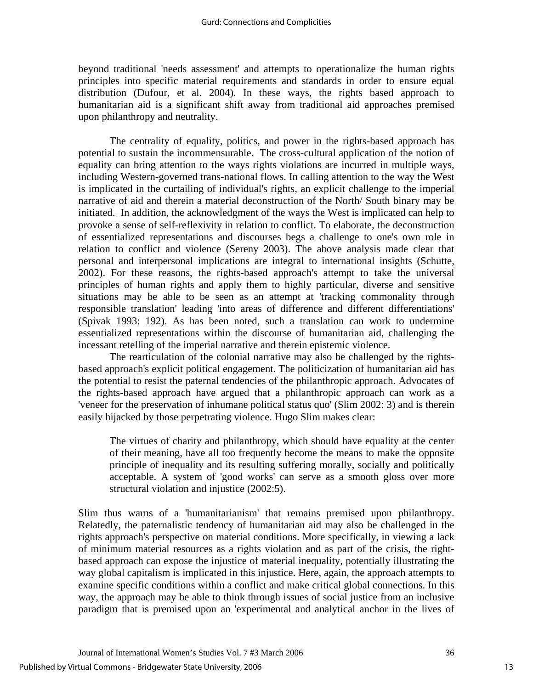beyond traditional 'needs assessment' and attempts to operationalize the human rights principles into specific material requirements and standards in order to ensure equal distribution (Dufour, et al. 2004). In these ways, the rights based approach to humanitarian aid is a significant shift away from traditional aid approaches premised upon philanthropy and neutrality.

 The centrality of equality, politics, and power in the rights-based approach has potential to sustain the incommensurable. The cross-cultural application of the notion of equality can bring attention to the ways rights violations are incurred in multiple ways, including Western-governed trans-national flows. In calling attention to the way the West is implicated in the curtailing of individual's rights, an explicit challenge to the imperial narrative of aid and therein a material deconstruction of the North/ South binary may be initiated. In addition, the acknowledgment of the ways the West is implicated can help to provoke a sense of self-reflexivity in relation to conflict. To elaborate, the deconstruction of essentialized representations and discourses begs a challenge to one's own role in relation to conflict and violence (Sereny 2003). The above analysis made clear that personal and interpersonal implications are integral to international insights (Schutte, 2002). For these reasons, the rights-based approach's attempt to take the universal principles of human rights and apply them to highly particular, diverse and sensitive situations may be able to be seen as an attempt at 'tracking commonality through responsible translation' leading 'into areas of difference and different differentiations' (Spivak 1993: 192). As has been noted, such a translation can work to undermine essentialized representations within the discourse of humanitarian aid, challenging the incessant retelling of the imperial narrative and therein epistemic violence.

The rearticulation of the colonial narrative may also be challenged by the rightsbased approach's explicit political engagement. The politicization of humanitarian aid has the potential to resist the paternal tendencies of the philanthropic approach. Advocates of the rights-based approach have argued that a philanthropic approach can work as a 'veneer for the preservation of inhumane political status quo' (Slim 2002: 3) and is therein easily hijacked by those perpetrating violence. Hugo Slim makes clear:

The virtues of charity and philanthropy, which should have equality at the center of their meaning, have all too frequently become the means to make the opposite principle of inequality and its resulting suffering morally, socially and politically acceptable. A system of 'good works' can serve as a smooth gloss over more structural violation and injustice (2002:5).

Slim thus warns of a 'humanitarianism' that remains premised upon philanthropy. Relatedly, the paternalistic tendency of humanitarian aid may also be challenged in the rights approach's perspective on material conditions. More specifically, in viewing a lack of minimum material resources as a rights violation and as part of the crisis, the rightbased approach can expose the injustice of material inequality, potentially illustrating the way global capitalism is implicated in this injustice. Here, again, the approach attempts to examine specific conditions within a conflict and make critical global connections. In this way, the approach may be able to think through issues of social justice from an inclusive paradigm that is premised upon an 'experimental and analytical anchor in the lives of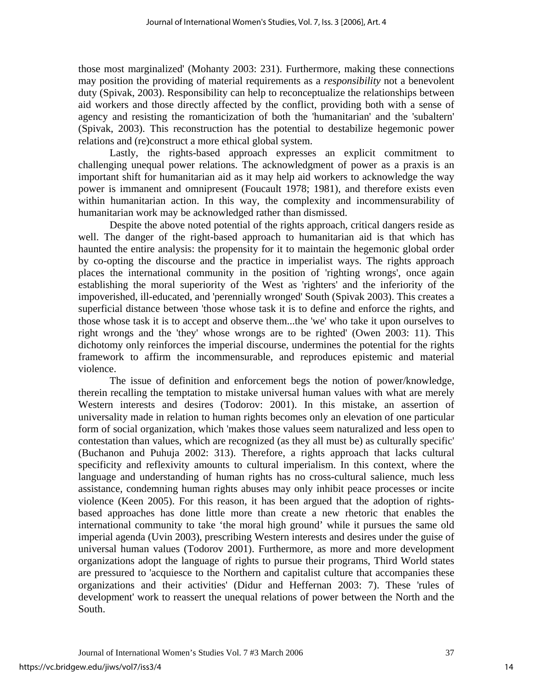those most marginalized' (Mohanty 2003: 231). Furthermore, making these connections may position the providing of material requirements as a *responsibility* not a benevolent duty (Spivak, 2003). Responsibility can help to reconceptualize the relationships between aid workers and those directly affected by the conflict, providing both with a sense of agency and resisting the romanticization of both the 'humanitarian' and the 'subaltern' (Spivak, 2003). This reconstruction has the potential to destabilize hegemonic power relations and (re)construct a more ethical global system.

 Lastly, the rights-based approach expresses an explicit commitment to challenging unequal power relations. The acknowledgment of power as a praxis is an important shift for humanitarian aid as it may help aid workers to acknowledge the way power is immanent and omnipresent (Foucault 1978; 1981), and therefore exists even within humanitarian action. In this way, the complexity and incommensurability of humanitarian work may be acknowledged rather than dismissed.

 Despite the above noted potential of the rights approach, critical dangers reside as well. The danger of the right-based approach to humanitarian aid is that which has haunted the entire analysis: the propensity for it to maintain the hegemonic global order by co-opting the discourse and the practice in imperialist ways. The rights approach places the international community in the position of 'righting wrongs', once again establishing the moral superiority of the West as 'righters' and the inferiority of the impoverished, ill-educated, and 'perennially wronged' South (Spivak 2003). This creates a superficial distance between 'those whose task it is to define and enforce the rights, and those whose task it is to accept and observe them...the 'we' who take it upon ourselves to right wrongs and the 'they' whose wrongs are to be righted' (Owen 2003: 11). This dichotomy only reinforces the imperial discourse, undermines the potential for the rights framework to affirm the incommensurable, and reproduces epistemic and material violence.

 The issue of definition and enforcement begs the notion of power/knowledge, therein recalling the temptation to mistake universal human values with what are merely Western interests and desires (Todorov: 2001). In this mistake, an assertion of universality made in relation to human rights becomes only an elevation of one particular form of social organization, which 'makes those values seem naturalized and less open to contestation than values, which are recognized (as they all must be) as culturally specific' (Buchanon and Puhuja 2002: 313). Therefore, a rights approach that lacks cultural specificity and reflexivity amounts to cultural imperialism. In this context, where the language and understanding of human rights has no cross-cultural salience, much less assistance, condemning human rights abuses may only inhibit peace processes or incite violence (Keen 2005). For this reason, it has been argued that the adoption of rightsbased approaches has done little more than create a new rhetoric that enables the international community to take 'the moral high ground' while it pursues the same old imperial agenda (Uvin 2003), prescribing Western interests and desires under the guise of universal human values (Todorov 2001). Furthermore, as more and more development organizations adopt the language of rights to pursue their programs, Third World states are pressured to 'acquiesce to the Northern and capitalist culture that accompanies these organizations and their activities' (Didur and Heffernan 2003: 7). These 'rules of development' work to reassert the unequal relations of power between the North and the South.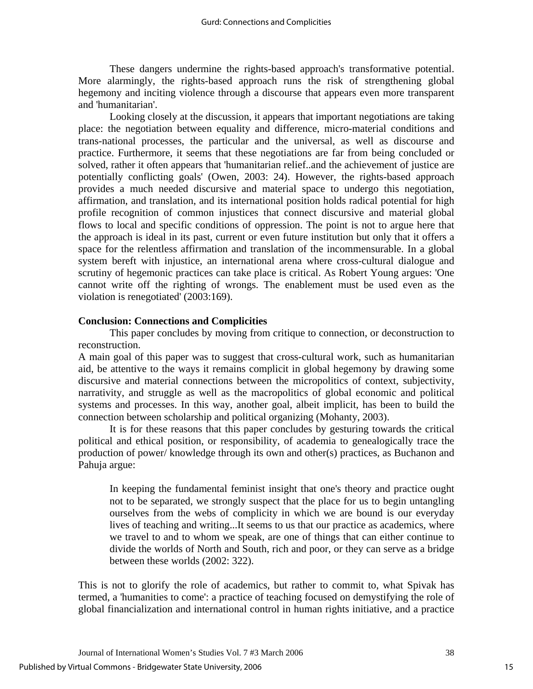These dangers undermine the rights-based approach's transformative potential. More alarmingly, the rights-based approach runs the risk of strengthening global hegemony and inciting violence through a discourse that appears even more transparent and 'humanitarian'.

 Looking closely at the discussion, it appears that important negotiations are taking place: the negotiation between equality and difference, micro-material conditions and trans-national processes, the particular and the universal, as well as discourse and practice. Furthermore, it seems that these negotiations are far from being concluded or solved, rather it often appears that 'humanitarian relief..and the achievement of justice are potentially conflicting goals' (Owen, 2003: 24). However, the rights-based approach provides a much needed discursive and material space to undergo this negotiation, affirmation, and translation, and its international position holds radical potential for high profile recognition of common injustices that connect discursive and material global flows to local and specific conditions of oppression. The point is not to argue here that the approach is ideal in its past, current or even future institution but only that it offers a space for the relentless affirmation and translation of the incommensurable. In a global system bereft with injustice, an international arena where cross-cultural dialogue and scrutiny of hegemonic practices can take place is critical. As Robert Young argues: 'One cannot write off the righting of wrongs. The enablement must be used even as the violation is renegotiated' (2003:169).

# **Conclusion: Connections and Complicities**

 This paper concludes by moving from critique to connection, or deconstruction to reconstruction.

A main goal of this paper was to suggest that cross-cultural work, such as humanitarian aid, be attentive to the ways it remains complicit in global hegemony by drawing some discursive and material connections between the micropolitics of context, subjectivity, narrativity, and struggle as well as the macropolitics of global economic and political systems and processes. In this way, another goal, albeit implicit, has been to build the connection between scholarship and political organizing (Mohanty, 2003).

It is for these reasons that this paper concludes by gesturing towards the critical political and ethical position, or responsibility, of academia to genealogically trace the production of power/ knowledge through its own and other(s) practices, as Buchanon and Pahuja argue:

In keeping the fundamental feminist insight that one's theory and practice ought not to be separated, we strongly suspect that the place for us to begin untangling ourselves from the webs of complicity in which we are bound is our everyday lives of teaching and writing...It seems to us that our practice as academics, where we travel to and to whom we speak, are one of things that can either continue to divide the worlds of North and South, rich and poor, or they can serve as a bridge between these worlds (2002: 322).

This is not to glorify the role of academics, but rather to commit to, what Spivak has termed, a 'humanities to come': a practice of teaching focused on demystifying the role of global financialization and international control in human rights initiative, and a practice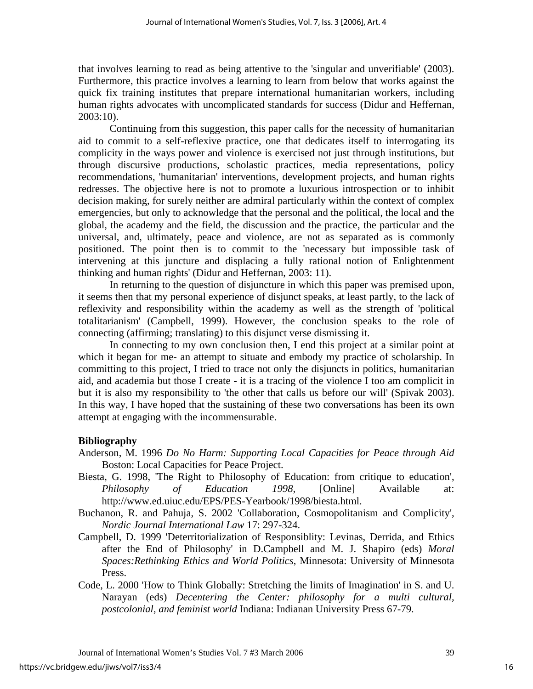that involves learning to read as being attentive to the 'singular and unverifiable' (2003). Furthermore, this practice involves a learning to learn from below that works against the quick fix training institutes that prepare international humanitarian workers, including human rights advocates with uncomplicated standards for success (Didur and Heffernan, 2003:10).

Continuing from this suggestion, this paper calls for the necessity of humanitarian aid to commit to a self-reflexive practice, one that dedicates itself to interrogating its complicity in the ways power and violence is exercised not just through institutions, but through discursive productions, scholastic practices, media representations, policy recommendations, 'humanitarian' interventions, development projects, and human rights redresses. The objective here is not to promote a luxurious introspection or to inhibit decision making, for surely neither are admiral particularly within the context of complex emergencies, but only to acknowledge that the personal and the political, the local and the global, the academy and the field, the discussion and the practice, the particular and the universal, and, ultimately, peace and violence, are not as separated as is commonly positioned. The point then is to commit to the 'necessary but impossible task of intervening at this juncture and displacing a fully rational notion of Enlightenment thinking and human rights' (Didur and Heffernan, 2003: 11).

In returning to the question of disjuncture in which this paper was premised upon, it seems then that my personal experience of disjunct speaks, at least partly, to the lack of reflexivity and responsibility within the academy as well as the strength of 'political totalitarianism' (Campbell, 1999). However, the conclusion speaks to the role of connecting (affirming; translating) to this disjunct verse dismissing it.

 In connecting to my own conclusion then, I end this project at a similar point at which it began for me- an attempt to situate and embody my practice of scholarship. In committing to this project, I tried to trace not only the disjuncts in politics, humanitarian aid, and academia but those I create - it is a tracing of the violence I too am complicit in but it is also my responsibility to 'the other that calls us before our will' (Spivak 2003). In this way, I have hoped that the sustaining of these two conversations has been its own attempt at engaging with the incommensurable.

# **Bibliography**

- Anderson, M. 1996 *Do No Harm: Supporting Local Capacities for Peace through Aid* Boston: Local Capacities for Peace Project.
- Biesta, G. 1998, 'The Right to Philosophy of Education: from critique to education', *Philosophy of Education 1998,* [Online] Available at: http://www.ed.uiuc.edu/EPS/PES-Yearbook/1998/biesta.html.

Buchanon, R. and Pahuja, S. 2002 'Collaboration, Cosmopolitanism and Complicity', *Nordic Journal International Law* 17: 297-324.

- Campbell, D. 1999 'Deterritorialization of Responsiblity: Levinas, Derrida, and Ethics after the End of Philosophy' in D.Campbell and M. J. Shapiro (eds) *Moral Spaces:Rethinking Ethics and World Politics*, Minnesota: University of Minnesota Press.
- Code, L. 2000 'How to Think Globally: Stretching the limits of Imagination' in S. and U. Narayan (eds) *Decentering the Center: philosophy for a multi cultural, postcolonial, and feminist world* Indiana: Indianan University Press 67-79.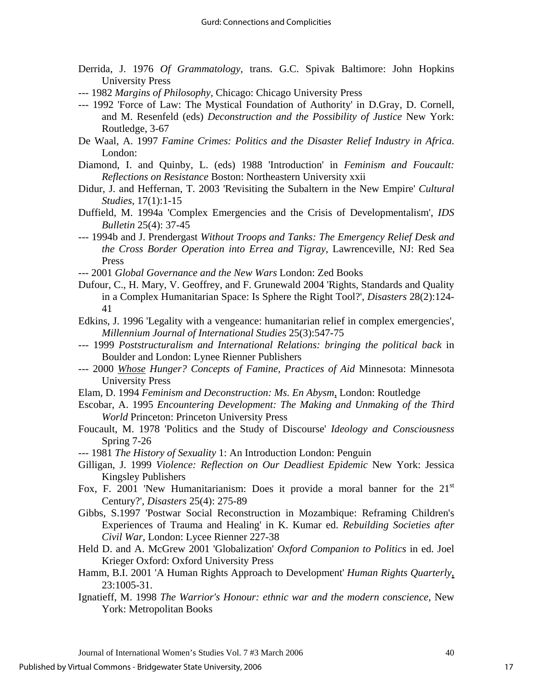- Derrida, J. 1976 *Of Grammatology*, trans. G.C. Spivak Baltimore: John Hopkins University Press
- --- 1982 *Margins of Philosophy,* Chicago: Chicago University Press
- --- 1992 'Force of Law: The Mystical Foundation of Authority' in D.Gray, D. Cornell, and M. Resenfeld (eds) *Deconstruction and the Possibility of Justice* New York: Routledge, 3-67
- De Waal, A. 1997 *Famine Crimes: Politics and the Disaster Relief Industry in Africa*. London:
- Diamond, I. and Quinby, L. (eds) 1988 'Introduction' in *Feminism and Foucault: Reflections on Resistance* Boston: Northeastern University xxii
- Didur, J. and Heffernan, T. 2003 'Revisiting the Subaltern in the New Empire' *Cultural Studies*, 17(1):1-15
- Duffield, M. 1994a 'Complex Emergencies and the Crisis of Developmentalism', *IDS Bulletin* 25(4): 37-45
- --- 1994b and J. Prendergast *Without Troops and Tanks: The Emergency Relief Desk and the Cross Border Operation into Errea and Tigray*, Lawrenceville, NJ: Red Sea Press
- --- 2001 *Global Governance and the New Wars* London: Zed Books
- Dufour, C., H. Mary, V. Geoffrey, and F. Grunewald 2004 'Rights, Standards and Quality in a Complex Humanitarian Space: Is Sphere the Right Tool?', *Disasters* 28(2):124- 41
- Edkins, J. 1996 'Legality with a vengeance: humanitarian relief in complex emergencies', *Millennium Journal of International Studies* 25(3):547-75
- --- 1999 *Poststructuralism and International Relations: bringing the political back* in Boulder and London: Lynee Rienner Publishers
- --- 2000 *Whose Hunger? Concepts of Famine, Practices of Aid* Minnesota: Minnesota University Press
- Elam, D. 1994 *Feminism and Deconstruction: Ms. En Abysm*, London: Routledge
- Escobar, A. 1995 *Encountering Development: The Making and Unmaking of the Third World* Princeton: Princeton University Press
- Foucault, M. 1978 'Politics and the Study of Discourse' *Ideology and Consciousness* Spring 7-26
- --- 1981 *The History of Sexuality* 1: An Introduction London: Penguin
- Gilligan, J. 1999 *Violence: Reflection on Our Deadliest Epidemic* New York: Jessica Kingsley Publishers
- Fox, F. 2001 'New Humanitarianism: Does it provide a moral banner for the  $21<sup>st</sup>$ Century?', *Disasters* 25(4): 275-89
- Gibbs, S.1997 'Postwar Social Reconstruction in Mozambique: Reframing Children's Experiences of Trauma and Healing' in K. Kumar ed. *Rebuilding Societies after Civil War,* London: Lycee Rienner 227-38
- Held D. and A. McGrew 2001 'Globalization' *Oxford Companion to Politics* in ed. Joel Krieger Oxford: Oxford University Press
- Hamm, B.I. 2001 'A Human Rights Approach to Development' *Human Rights Quarterly*, 23:1005-31.
- Ignatieff, M. 1998 *The Warrior's Honour: ethnic war and the modern conscience*, New York: Metropolitan Books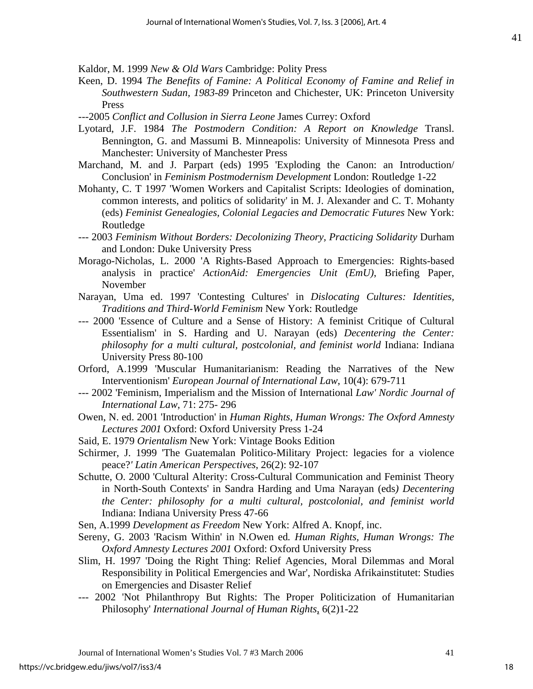Kaldor, M. 1999 *New & Old Wars* Cambridge: Polity Press

- Keen, D. 1994 *The Benefits of Famine: A Political Economy of Famine and Relief in Southwestern Sudan, 1983-89* Princeton and Chichester, UK: Princeton University Press
- ---2005 *Conflict and Collusion in Sierra Leone* James Currey: Oxford
- Lyotard, J.F. 1984 *The Postmodern Condition: A Report on Knowledge* Transl. Bennington, G. and Massumi B. Minneapolis: University of Minnesota Press and Manchester: University of Manchester Press
- Marchand, M. and J. Parpart (eds) 1995 'Exploding the Canon: an Introduction/ Conclusion' in *Feminism Postmodernism Development* London: Routledge 1-22
- Mohanty, C. T 1997 'Women Workers and Capitalist Scripts: Ideologies of domination, common interests, and politics of solidarity' in M. J. Alexander and C. T. Mohanty (eds) *Feminist Genealogies, Colonial Legacies and Democratic Futures* New York: Routledge
- --- 2003 *Feminism Without Borders: Decolonizing Theory, Practicing Solidarity* Durham and London: Duke University Press
- Morago-Nicholas, L. 2000 'A Rights-Based Approach to Emergencies: Rights-based analysis in practice' *ActionAid: Emergencies Unit (EmU)*, Briefing Paper, November
- Narayan, Uma ed. 1997 'Contesting Cultures' in *Dislocating Cultures: Identities, Traditions and Third-World Feminism* New York: Routledge
- --- 2000 'Essence of Culture and a Sense of History: A feminist Critique of Cultural Essentialism' in S. Harding and U. Narayan (eds) *Decentering the Center: philosophy for a multi cultural, postcolonial, and feminist world* Indiana: Indiana University Press 80-100
- Orford, A.1999 'Muscular Humanitarianism: Reading the Narratives of the New Interventionism' *European Journal of International Law*, 10(4): 679-711
- --- 2002 'Feminism, Imperialism and the Mission of International *Law' Nordic Journal of International Law*, 71: 275- 296
- Owen, N. ed. 2001 'Introduction' in *Human Rights, Human Wrongs: The Oxford Amnesty Lectures 2001* Oxford: Oxford University Press 1-24
- Said, E. 1979 *Orientalism* New York: Vintage Books Edition
- Schirmer, J. 1999 'The Guatemalan Politico-Military Project: legacies for a violence peace?*' Latin American Perspectives*, 26(2): 92-107
- Schutte, O. 2000 'Cultural Alterity: Cross-Cultural Communication and Feminist Theory in North-South Contexts' in Sandra Harding and Uma Narayan (eds*) Decentering the Center: philosophy for a multi cultural, postcolonial, and feminist world* Indiana: Indiana University Press 47-66

Sen, A.1999 *Development as Freedom* New York: Alfred A. Knopf, inc.

- Sereny, G. 2003 'Racism Within' in N.Owen ed*. Human Rights, Human Wrongs: The Oxford Amnesty Lectures 2001* Oxford: Oxford University Press
- Slim, H. 1997 'Doing the Right Thing: Relief Agencies, Moral Dilemmas and Moral Responsibility in Political Emergencies and War', Nordiska Afrikainstitutet: Studies on Emergencies and Disaster Relief
- --- 2002 'Not Philanthropy But Rights: The Proper Politicization of Humanitarian Philosophy' *International Journal of Human Rights*, 6(2)1-22

18